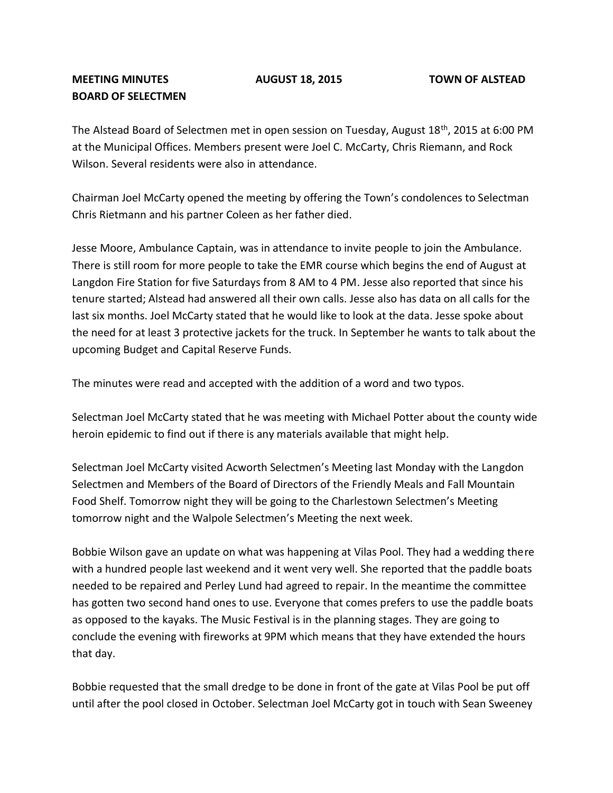## **BOARD OF SELECTMEN**

The Alstead Board of Selectmen met in open session on Tuesday, August 18<sup>th</sup>, 2015 at 6:00 PM at the Municipal Offices. Members present were Joel C. McCarty, Chris Riemann, and Rock Wilson. Several residents were also in attendance.

Chairman Joel McCarty opened the meeting by offering the Town's condolences to Selectman Chris Rietmann and his partner Coleen as her father died.

Jesse Moore, Ambulance Captain, was in attendance to invite people to join the Ambulance. There is still room for more people to take the EMR course which begins the end of August at Langdon Fire Station for five Saturdays from 8 AM to 4 PM. Jesse also reported that since his tenure started; Alstead had answered all their own calls. Jesse also has data on all calls for the last six months. Joel McCarty stated that he would like to look at the data. Jesse spoke about the need for at least 3 protective jackets for the truck. In September he wants to talk about the upcoming Budget and Capital Reserve Funds.

The minutes were read and accepted with the addition of a word and two typos.

Selectman Joel McCarty stated that he was meeting with Michael Potter about the county wide heroin epidemic to find out if there is any materials available that might help.

Selectman Joel McCarty visited Acworth Selectmen's Meeting last Monday with the Langdon Selectmen and Members of the Board of Directors of the Friendly Meals and Fall Mountain Food Shelf. Tomorrow night they will be going to the Charlestown Selectmen's Meeting tomorrow night and the Walpole Selectmen's Meeting the next week.

Bobbie Wilson gave an update on what was happening at Vilas Pool. They had a wedding there with a hundred people last weekend and it went very well. She reported that the paddle boats needed to be repaired and Perley Lund had agreed to repair. In the meantime the committee has gotten two second hand ones to use. Everyone that comes prefers to use the paddle boats as opposed to the kayaks. The Music Festival is in the planning stages. They are going to conclude the evening with fireworks at 9PM which means that they have extended the hours that day.

Bobbie requested that the small dredge to be done in front of the gate at Vilas Pool be put off until after the pool closed in October. Selectman Joel McCarty got in touch with Sean Sweeney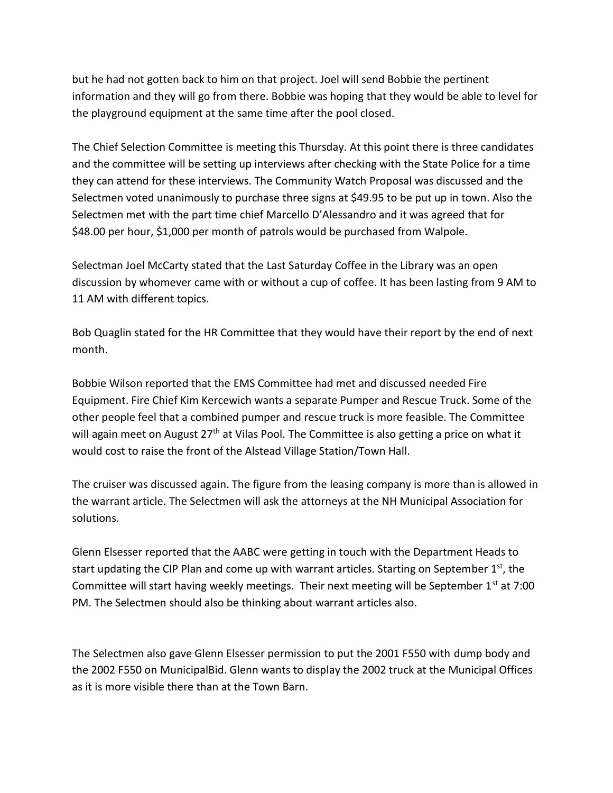but he had not gotten back to him on that project. Joel will send Bobbie the pertinent information and they will go from there. Bobbie was hoping that they would be able to level for the playground equipment at the same time after the pool closed.

The Chief Selection Committee is meeting this Thursday. At this point there is three candidates and the committee will be setting up interviews after checking with the State Police for a time they can attend for these interviews. The Community Watch Proposal was discussed and the Selectmen voted unanimously to purchase three signs at \$49.95 to be put up in town. Also the Selectmen met with the part time chief Marcello D'Alessandro and it was agreed that for \$48.00 per hour, \$1,000 per month of patrols would be purchased from Walpole.

Selectman Joel McCarty stated that the Last Saturday Coffee in the Library was an open discussion by whomever came with or without a cup of coffee. It has been lasting from 9 AM to 11 AM with different topics.

Bob Quaglin stated for the HR Committee that they would have their report by the end of next month.

Bobbie Wilson reported that the EMS Committee had met and discussed needed Fire Equipment. Fire Chief Kim Kercewich wants a separate Pumper and Rescue Truck. Some of the other people feel that a combined pumper and rescue truck is more feasible. The Committee will again meet on August 27<sup>th</sup> at Vilas Pool. The Committee is also getting a price on what it would cost to raise the front of the Alstead Village Station/Town Hall.

The cruiser was discussed again. The figure from the leasing company is more than is allowed in the warrant article. The Selectmen will ask the attorneys at the NH Municipal Association for solutions.

Glenn Elsesser reported that the AABC were getting in touch with the Department Heads to start updating the CIP Plan and come up with warrant articles. Starting on September  $1<sup>st</sup>$ , the Committee will start having weekly meetings. Their next meeting will be September 1<sup>st</sup> at 7:00 PM. The Selectmen should also be thinking about warrant articles also.

The Selectmen also gave Glenn Elsesser permission to put the 2001 F550 with dump body and the 2002 F550 on MunicipalBid. Glenn wants to display the 2002 truck at the Municipal Offices as it is more visible there than at the Town Barn.